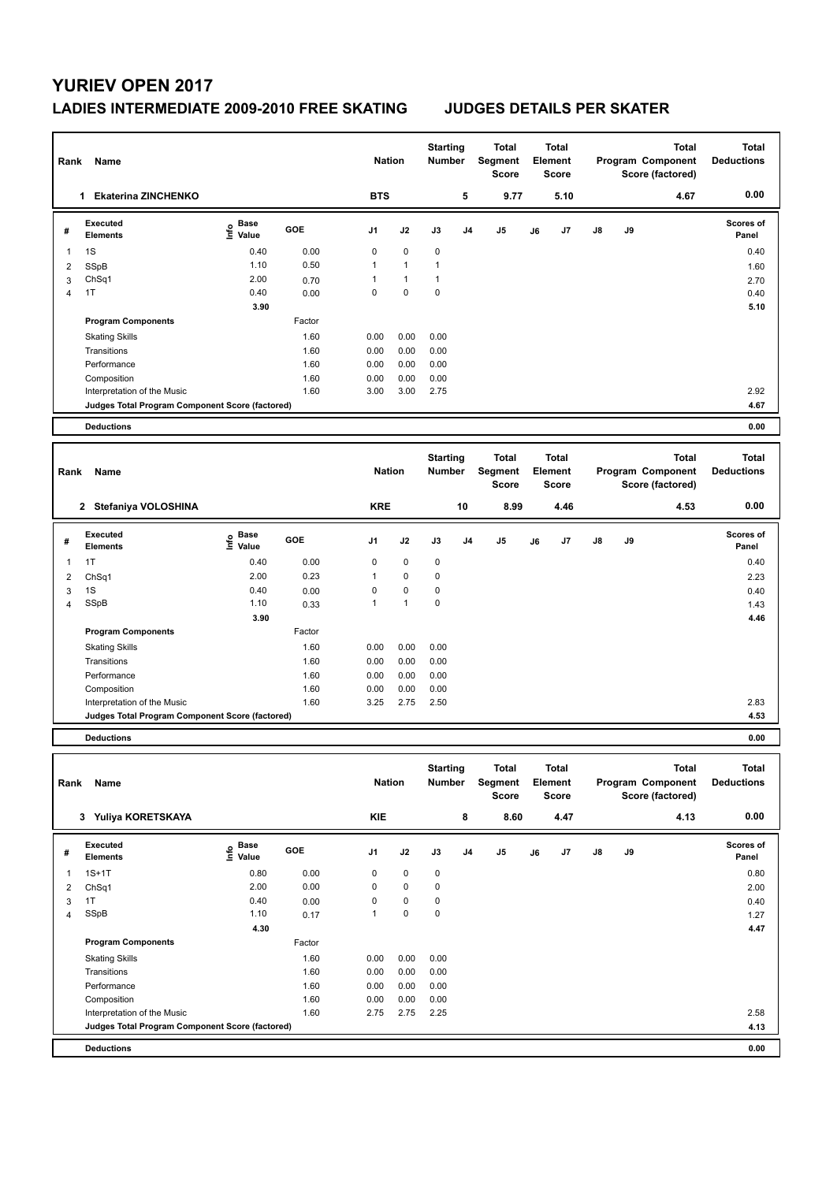## **LADIES INTERMEDIATE 2009-2010 FREE SKATING JUDGES DETAILS PER SKATER**

| Rank           | Name                                            |                           |        |                | <b>Nation</b> | <b>Starting</b><br><b>Number</b> |                | <b>Total</b><br><b>Segment</b><br><b>Score</b> |                                  | <b>Total</b><br>Element<br><b>Score</b>        |                                                       |    | <b>Total</b><br>Program Component<br>Score (factored) | <b>Total</b><br><b>Deductions</b> |
|----------------|-------------------------------------------------|---------------------------|--------|----------------|---------------|----------------------------------|----------------|------------------------------------------------|----------------------------------|------------------------------------------------|-------------------------------------------------------|----|-------------------------------------------------------|-----------------------------------|
|                | 1 Ekaterina ZINCHENKO                           |                           |        | <b>BTS</b>     |               |                                  | 5              | 9.77                                           |                                  | 5.10                                           |                                                       |    | 4.67                                                  | 0.00                              |
| #              | <b>Executed</b><br><b>Elements</b>              | e Base<br>E Value         | GOE    | J <sub>1</sub> | J2            | J3                               | J <sub>4</sub> | J <sub>5</sub>                                 | J6                               | J <sub>7</sub>                                 | J8                                                    | J9 |                                                       | <b>Scores of</b><br>Panel         |
| 1              | 1S                                              | 0.40                      | 0.00   | $\mathbf 0$    | $\mathbf 0$   | $\mathbf 0$                      |                |                                                |                                  |                                                |                                                       |    |                                                       | 0.40                              |
| $\overline{2}$ | SSpB                                            | 1.10                      | 0.50   | $\mathbf{1}$   | $\mathbf{1}$  | $\mathbf{1}$                     |                |                                                |                                  |                                                |                                                       |    |                                                       | 1.60                              |
| 3              | ChSq1                                           | 2.00                      | 0.70   | $\mathbf{1}$   | $\mathbf{1}$  | $\mathbf{1}$                     |                |                                                |                                  |                                                |                                                       |    |                                                       | 2.70                              |
| $\overline{4}$ | 1T                                              | 0.40                      | 0.00   | $\mathbf 0$    | 0             | 0                                |                |                                                |                                  |                                                |                                                       |    |                                                       | 0.40                              |
|                |                                                 | 3.90                      |        |                |               |                                  |                |                                                |                                  |                                                |                                                       |    |                                                       | 5.10                              |
|                | <b>Program Components</b>                       |                           | Factor |                |               |                                  |                |                                                |                                  |                                                |                                                       |    |                                                       |                                   |
|                | <b>Skating Skills</b>                           |                           | 1.60   | 0.00           | 0.00          | 0.00                             |                |                                                |                                  |                                                |                                                       |    |                                                       |                                   |
|                | Transitions                                     |                           | 1.60   | 0.00           | 0.00          | 0.00                             |                |                                                |                                  |                                                |                                                       |    |                                                       |                                   |
|                | Performance                                     |                           | 1.60   | 0.00           | 0.00          | 0.00                             |                |                                                |                                  |                                                |                                                       |    |                                                       |                                   |
|                | Composition                                     |                           | 1.60   | 0.00           | 0.00          | 0.00                             |                |                                                |                                  |                                                |                                                       |    |                                                       |                                   |
|                | Interpretation of the Music                     |                           | 1.60   | 3.00           | 3.00          | 2.75                             |                |                                                |                                  |                                                |                                                       |    |                                                       | 2.92                              |
|                | Judges Total Program Component Score (factored) |                           |        |                |               |                                  |                |                                                |                                  |                                                |                                                       |    |                                                       | 4.67                              |
|                | <b>Deductions</b>                               |                           |        |                |               |                                  |                |                                                |                                  |                                                |                                                       |    |                                                       | 0.00                              |
|                |                                                 |                           |        |                |               |                                  |                |                                                |                                  |                                                |                                                       |    |                                                       |                                   |
| Rank           | Name                                            |                           |        | <b>Nation</b>  |               | <b>Starting</b><br>Number        |                | <b>Total</b><br>Segment<br><b>Score</b>        | <b>Total</b><br>Element<br>Score |                                                | <b>Total</b><br>Program Component<br>Score (factored) |    |                                                       | <b>Total</b><br><b>Deductions</b> |
|                | 2 Stefaniya VOLOSHINA                           |                           |        | <b>KRE</b>     |               |                                  | 10             | 8.99                                           |                                  | 4.46                                           |                                                       |    | 4.53                                                  | 0.00                              |
| #              | Executed<br><b>Elements</b>                     | Base<br>e Base<br>⊆ Value | GOE    | J1             | J2            | J3                               | J4             | J <sub>5</sub>                                 | J6                               | J7                                             | J8                                                    | J9 |                                                       | <b>Scores of</b><br>Panel         |
| 1              | 1T                                              | 0.40                      | 0.00   | $\mathbf 0$    | $\mathbf 0$   | $\mathbf 0$                      |                |                                                |                                  |                                                |                                                       |    |                                                       | 0.40                              |
| $\overline{2}$ | ChSq1                                           | 2.00                      | 0.23   | $\mathbf{1}$   | $\mathbf 0$   | $\mathbf 0$                      |                |                                                |                                  |                                                |                                                       |    |                                                       | 2.23                              |
| 3              | 1S                                              | 0.40                      | 0.00   | $\mathbf 0$    | $\mathbf 0$   | $\mathbf 0$                      |                |                                                |                                  |                                                |                                                       |    |                                                       | 0.40                              |
| $\overline{4}$ | <b>SSpB</b>                                     | 1.10                      | 0.33   | $\mathbf{1}$   | $\mathbf{1}$  | $\mathbf 0$                      |                |                                                |                                  |                                                |                                                       |    |                                                       | 1.43                              |
|                |                                                 | 3.90                      |        |                |               |                                  |                |                                                |                                  |                                                |                                                       |    |                                                       | 4.46                              |
|                | <b>Program Components</b>                       |                           | Factor |                |               |                                  |                |                                                |                                  |                                                |                                                       |    |                                                       |                                   |
|                | <b>Skating Skills</b>                           |                           | 1.60   | 0.00           | 0.00          | 0.00                             |                |                                                |                                  |                                                |                                                       |    |                                                       |                                   |
|                | Transitions                                     |                           | 1.60   | 0.00           | 0.00          | 0.00                             |                |                                                |                                  |                                                |                                                       |    |                                                       |                                   |
|                | Performance                                     |                           | 1.60   | 0.00           | 0.00          | 0.00                             |                |                                                |                                  |                                                |                                                       |    |                                                       |                                   |
|                | Composition                                     |                           | 1.60   | 0.00           | 0.00          | 0.00                             |                |                                                |                                  |                                                |                                                       |    |                                                       |                                   |
|                | Interpretation of the Music                     |                           | 1.60   | 3.25           | 2.75          | 2.50                             |                |                                                |                                  |                                                |                                                       |    |                                                       | 2.83                              |
|                | Judges Total Program Component Score (factored) |                           |        |                |               |                                  |                |                                                |                                  |                                                |                                                       |    |                                                       | 4.53                              |
|                | <b>Deductions</b>                               |                           |        |                |               |                                  |                |                                                |                                  |                                                |                                                       |    |                                                       | 0.00                              |
| Rank           | Name                                            |                           |        | <b>Nation</b>  |               | <b>Starting</b><br>Number        |                | <b>Total</b><br>Segment<br><b>Score</b>        |                                  | <b>Total</b><br><b>Element</b><br><b>Score</b> |                                                       |    | <b>Total</b><br>Program Component<br>Score (factored) | <b>Total</b><br><b>Deductions</b> |

|                | Yuliya KORETSKAYA<br>3                          |                   |        | KIE            |             |             | 8              | 8.60 |    | 4.47 |               |    | 4.13 | 0.00               |
|----------------|-------------------------------------------------|-------------------|--------|----------------|-------------|-------------|----------------|------|----|------|---------------|----|------|--------------------|
| #              | Executed<br><b>Elements</b>                     | e Base<br>E Value | GOE    | J <sub>1</sub> | J2          | J3          | J <sub>4</sub> | J5   | J6 | J7   | $\mathsf{J}8$ | J9 |      | Scores of<br>Panel |
|                | $1S+1T$                                         | 0.80              | 0.00   | 0              | $\mathbf 0$ | $\mathbf 0$ |                |      |    |      |               |    |      | 0.80               |
| 2              | ChSq1                                           | 2.00              | 0.00   | 0              | $\mathbf 0$ | $\mathbf 0$ |                |      |    |      |               |    |      | 2.00               |
| 3              | 1T                                              | 0.40              | 0.00   | 0              | $\mathbf 0$ | 0           |                |      |    |      |               |    |      | 0.40               |
| $\overline{4}$ | SSpB                                            | 1.10              | 0.17   |                | $\mathbf 0$ | 0           |                |      |    |      |               |    |      | 1.27               |
|                |                                                 | 4.30              |        |                |             |             |                |      |    |      |               |    |      | 4.47               |
|                | <b>Program Components</b>                       |                   | Factor |                |             |             |                |      |    |      |               |    |      |                    |
|                | <b>Skating Skills</b>                           |                   | 1.60   | 0.00           | 0.00        | 0.00        |                |      |    |      |               |    |      |                    |
|                | Transitions                                     |                   | 1.60   | 0.00           | 0.00        | 0.00        |                |      |    |      |               |    |      |                    |
|                | Performance                                     |                   | 1.60   | 0.00           | 0.00        | 0.00        |                |      |    |      |               |    |      |                    |
|                | Composition                                     |                   | 1.60   | 0.00           | 0.00        | 0.00        |                |      |    |      |               |    |      |                    |
|                | Interpretation of the Music                     |                   | 1.60   | 2.75           | 2.75        | 2.25        |                |      |    |      |               |    |      | 2.58               |
|                | Judges Total Program Component Score (factored) |                   |        |                |             |             |                |      |    |      |               |    |      | 4.13               |
|                | <b>Deductions</b>                               |                   |        |                |             |             |                |      |    |      |               |    |      | 0.00               |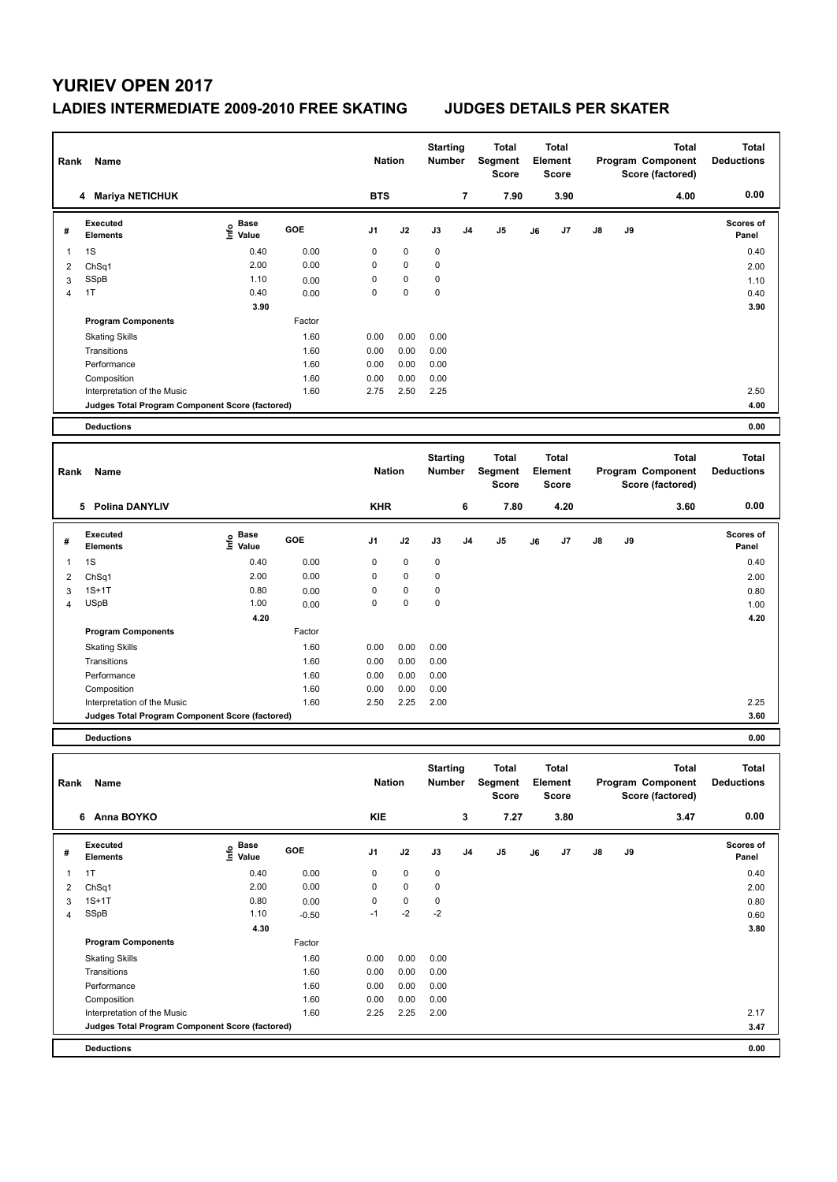## **LADIES INTERMEDIATE 2009-2010 FREE SKATING JUDGES DETAILS PER SKATER**

| Rank           | Name                                            |                                           |            | <b>Nation</b> |             | <b>Starting</b><br><b>Number</b> |                | <b>Total</b><br>Segment<br><b>Score</b> |    | <b>Total</b><br>Element<br><b>Score</b> |    |    | <b>Total</b><br>Program Component<br>Score (factored) | <b>Total</b><br><b>Deductions</b> |
|----------------|-------------------------------------------------|-------------------------------------------|------------|---------------|-------------|----------------------------------|----------------|-----------------------------------------|----|-----------------------------------------|----|----|-------------------------------------------------------|-----------------------------------|
|                | 4 Mariya NETICHUK                               |                                           |            | <b>BTS</b>    |             |                                  | $\overline{7}$ | 7.90                                    |    | 3.90                                    |    |    | 4.00                                                  | 0.00                              |
| #              | <b>Executed</b><br><b>Elements</b>              | $\frac{e}{E}$ Base<br>$\frac{E}{E}$ Value | <b>GOE</b> | J1            | J2          | J3                               | J <sub>4</sub> | J5                                      | J6 | J7                                      | J8 | J9 |                                                       | Scores of<br>Panel                |
| $\mathbf{1}$   | 1S                                              | 0.40                                      | 0.00       | $\mathbf 0$   | $\mathbf 0$ | 0                                |                |                                         |    |                                         |    |    |                                                       | 0.40                              |
| $\overline{2}$ | ChSq1                                           | 2.00                                      | 0.00       | $\mathbf 0$   | $\mathbf 0$ | $\mathbf 0$                      |                |                                         |    |                                         |    |    |                                                       | 2.00                              |
| $\overline{3}$ | SSpB                                            | 1.10                                      | 0.00       | $\mathbf 0$   | $\mathbf 0$ | $\mathbf 0$                      |                |                                         |    |                                         |    |    |                                                       | 1.10                              |
| $\overline{4}$ | 1T                                              | 0.40<br>3.90                              | 0.00       | $\Omega$      | $\mathbf 0$ | $\mathbf 0$                      |                |                                         |    |                                         |    |    |                                                       | 0.40<br>3.90                      |
|                | <b>Program Components</b>                       |                                           | Factor     |               |             |                                  |                |                                         |    |                                         |    |    |                                                       |                                   |
|                | <b>Skating Skills</b>                           |                                           | 1.60       | 0.00          | 0.00        | 0.00                             |                |                                         |    |                                         |    |    |                                                       |                                   |
|                | Transitions                                     |                                           | 1.60       | 0.00          | 0.00        | 0.00                             |                |                                         |    |                                         |    |    |                                                       |                                   |
|                | Performance                                     |                                           | 1.60       | 0.00          | 0.00        | 0.00                             |                |                                         |    |                                         |    |    |                                                       |                                   |
|                | Composition                                     |                                           | 1.60       | 0.00          | 0.00        | 0.00                             |                |                                         |    |                                         |    |    |                                                       |                                   |
|                | Interpretation of the Music                     |                                           | 1.60       | 2.75          | 2.50        | 2.25                             |                |                                         |    |                                         |    |    |                                                       | 2.50                              |
|                | Judges Total Program Component Score (factored) |                                           |            |               |             |                                  |                |                                         |    |                                         |    |    |                                                       | 4.00                              |
|                | <b>Deductions</b>                               |                                           |            |               |             |                                  |                |                                         |    |                                         |    |    |                                                       | 0.00                              |
|                |                                                 |                                           |            |               |             |                                  |                |                                         |    |                                         |    |    |                                                       |                                   |
| Rank           | <b>Name</b>                                     |                                           |            | <b>Nation</b> |             | <b>Starting</b><br><b>Number</b> |                | <b>Total</b><br>Segment<br>Score        |    | <b>Total</b><br>Element<br>Score        |    |    | <b>Total</b><br>Program Component<br>Score (factored) | <b>Total</b><br><b>Deductions</b> |
|                | 5 Polina DANYLIV                                |                                           |            | <b>KHR</b>    |             |                                  | 6              | 7.80                                    |    | 4.20                                    |    |    | 3.60                                                  | 0.00                              |
| #              | Executed<br><b>Elements</b>                     | $\frac{6}{5}$ Base                        | GOE        | J1            | J2          | J3                               | J <sub>4</sub> | J <sub>5</sub>                          | J6 | J7                                      | J8 | J9 |                                                       | Scores of<br>Panel                |
| 1              | 1S                                              | 0.40                                      | 0.00       | $\mathbf 0$   | $\mathbf 0$ | $\mathbf 0$                      |                |                                         |    |                                         |    |    |                                                       | 0.40                              |
| $\overline{2}$ | ChSq1                                           | 2.00                                      | 0.00       | $\mathbf 0$   | $\mathbf 0$ | $\mathbf 0$                      |                |                                         |    |                                         |    |    |                                                       | 2.00                              |
| 3              | $1S+1T$                                         | 0.80                                      | 0.00       | $\mathbf 0$   | $\mathbf 0$ | $\mathbf 0$                      |                |                                         |    |                                         |    |    |                                                       | 0.80                              |
| $\overline{4}$ | <b>USpB</b>                                     | 1.00                                      | 0.00       | $\mathbf 0$   | $\mathbf 0$ | $\mathbf 0$                      |                |                                         |    |                                         |    |    |                                                       | 1.00                              |
|                |                                                 | 4.20                                      |            |               |             |                                  |                |                                         |    |                                         |    |    |                                                       | 4.20                              |
|                | <b>Program Components</b>                       |                                           | Factor     |               |             |                                  |                |                                         |    |                                         |    |    |                                                       |                                   |
|                | <b>Skating Skills</b>                           |                                           | 1.60       | 0.00          | 0.00        | 0.00                             |                |                                         |    |                                         |    |    |                                                       |                                   |
|                | Transitions                                     |                                           | 1.60       | 0.00          | 0.00        | 0.00                             |                |                                         |    |                                         |    |    |                                                       |                                   |
|                | Performance                                     |                                           | 1.60       | 0.00          | 0.00        | 0.00                             |                |                                         |    |                                         |    |    |                                                       |                                   |
|                | Composition                                     |                                           | 1.60       | 0.00          | 0.00        | 0.00                             |                |                                         |    |                                         |    |    |                                                       |                                   |
|                | Interpretation of the Music                     |                                           | 1.60       | 2.50          | 2.25        | 2.00                             |                |                                         |    |                                         |    |    |                                                       | 2.25<br>3.60                      |
|                | Judges Total Program Component Score (factored) |                                           |            |               |             |                                  |                |                                         |    |                                         |    |    |                                                       |                                   |
|                | <b>Deductions</b>                               |                                           |            |               |             |                                  |                |                                         |    |                                         |    |    |                                                       | 0.00                              |
| Rank           | Name                                            |                                           |            | <b>Nation</b> |             | <b>Starting</b><br>Number        |                | <b>Total</b><br>Segment<br><b>Score</b> |    | <b>Total</b><br>Element<br><b>Score</b> |    |    | <b>Total</b><br>Program Component<br>Score (factored) | <b>Total</b><br><b>Deductions</b> |
| 6 Anna BOYKO   |                                                 |                                           |            | <b>KIE</b>    |             |                                  | 3              | 7.27                                    |    | 3.80                                    |    |    | 3.47                                                  | 0.00                              |

| # | Executed<br><b>Elements</b>                     | Base<br>۴ô<br>Value | GOE     | J <sub>1</sub> | J2          | J3   | J <sub>4</sub> | J5 | J6 | J7 | J8 | J9 | Scores of<br>Panel |
|---|-------------------------------------------------|---------------------|---------|----------------|-------------|------|----------------|----|----|----|----|----|--------------------|
|   | 1T                                              | 0.40                | 0.00    | $\mathbf 0$    | $\mathbf 0$ | 0    |                |    |    |    |    |    | 0.40               |
| 2 | ChSq1                                           | 2.00                | 0.00    | 0              | 0           | 0    |                |    |    |    |    |    | 2.00               |
| 3 | $1S+1T$                                         | 0.80                | 0.00    | 0              | 0           | 0    |                |    |    |    |    |    | 0.80               |
| 4 | SSpB                                            | 1.10                | $-0.50$ | $-1$           | $-2$        | $-2$ |                |    |    |    |    |    | 0.60               |
|   |                                                 | 4.30                |         |                |             |      |                |    |    |    |    |    | 3.80               |
|   | <b>Program Components</b>                       |                     | Factor  |                |             |      |                |    |    |    |    |    |                    |
|   | <b>Skating Skills</b>                           |                     | 1.60    | 0.00           | 0.00        | 0.00 |                |    |    |    |    |    |                    |
|   | Transitions                                     |                     | 1.60    | 0.00           | 0.00        | 0.00 |                |    |    |    |    |    |                    |
|   | Performance                                     |                     | 1.60    | 0.00           | 0.00        | 0.00 |                |    |    |    |    |    |                    |
|   | Composition                                     |                     | 1.60    | 0.00           | 0.00        | 0.00 |                |    |    |    |    |    |                    |
|   | Interpretation of the Music                     |                     | 1.60    | 2.25           | 2.25        | 2.00 |                |    |    |    |    |    | 2.17               |
|   | Judges Total Program Component Score (factored) |                     |         |                |             |      |                |    |    |    |    |    | 3.47               |
|   | <b>Deductions</b>                               |                     |         |                |             |      |                |    |    |    |    |    | 0.00               |
|   |                                                 |                     |         |                |             |      |                |    |    |    |    |    |                    |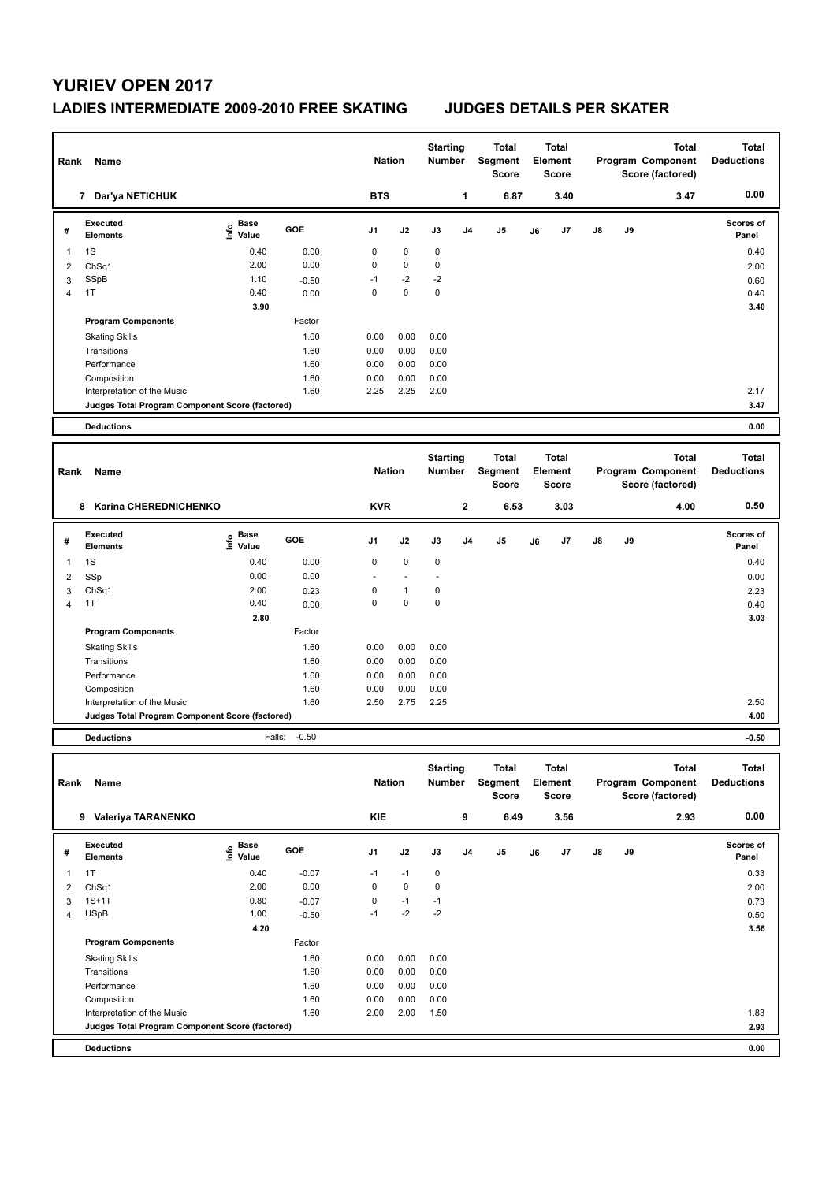## **LADIES INTERMEDIATE 2009-2010 FREE SKATING JUDGES DETAILS PER SKATER**

| Name<br>Rank   |                                                                      |                                                                               |              |                      | <b>Nation</b> |                                  | <b>Starting</b><br>Number | <b>Total</b><br>Segment<br><b>Score</b> |      | Total<br>Element<br>Score |                                  |    |    | <b>Total</b><br>Program Component<br>Score (factored) | <b>Total</b><br><b>Deductions</b> |
|----------------|----------------------------------------------------------------------|-------------------------------------------------------------------------------|--------------|----------------------|---------------|----------------------------------|---------------------------|-----------------------------------------|------|---------------------------|----------------------------------|----|----|-------------------------------------------------------|-----------------------------------|
|                | 7 Dar'ya NETICHUK                                                    |                                                                               |              | <b>BTS</b>           |               |                                  | 1                         |                                         | 6.87 |                           | 3.40                             |    |    | 3.47                                                  | 0.00                              |
| #              | <b>Executed</b><br>Elements                                          | e Base<br>E Value                                                             | GOE          | J1                   | J2            | J3                               | J4                        | J5                                      |      | J6                        | J7                               | J8 | J9 |                                                       | Scores of<br>Panel                |
| 1              | 1S                                                                   | 0.40                                                                          | 0.00         | 0                    | $\mathbf 0$   | $\pmb{0}$                        |                           |                                         |      |                           |                                  |    |    |                                                       | 0.40                              |
| $\overline{2}$ | ChSq1                                                                | 2.00                                                                          | 0.00         | 0                    | $\pmb{0}$     | $\pmb{0}$                        |                           |                                         |      |                           |                                  |    |    |                                                       | 2.00                              |
| 3              | SSpB                                                                 | 1.10                                                                          | $-0.50$      | $-1$                 | $-2$          | $-2$                             |                           |                                         |      |                           |                                  |    |    |                                                       | 0.60                              |
| 4              | 1T                                                                   | 0.40                                                                          | 0.00         | $\mathbf 0$          | 0             | $\mathbf 0$                      |                           |                                         |      |                           |                                  |    |    |                                                       | 0.40                              |
|                |                                                                      | 3.90                                                                          |              |                      |               |                                  |                           |                                         |      |                           |                                  |    |    |                                                       | 3.40                              |
|                | <b>Program Components</b>                                            |                                                                               | Factor       |                      |               |                                  |                           |                                         |      |                           |                                  |    |    |                                                       |                                   |
|                |                                                                      |                                                                               | 1.60         | 0.00                 | 0.00          | 0.00                             |                           |                                         |      |                           |                                  |    |    |                                                       |                                   |
|                | <b>Skating Skills</b>                                                |                                                                               |              |                      |               |                                  |                           |                                         |      |                           |                                  |    |    |                                                       |                                   |
|                | Transitions                                                          |                                                                               | 1.60         | 0.00                 | 0.00          | 0.00                             |                           |                                         |      |                           |                                  |    |    |                                                       |                                   |
|                | Performance                                                          |                                                                               | 1.60<br>1.60 | 0.00<br>0.00         | 0.00<br>0.00  | 0.00                             |                           |                                         |      |                           |                                  |    |    |                                                       |                                   |
|                | Composition                                                          |                                                                               | 1.60         | 2.25                 | 2.25          | 0.00<br>2.00                     |                           |                                         |      |                           |                                  |    |    |                                                       | 2.17                              |
|                | Interpretation of the Music                                          |                                                                               |              |                      |               |                                  |                           |                                         |      |                           |                                  |    |    |                                                       | 3.47                              |
|                | Judges Total Program Component Score (factored)<br><b>Deductions</b> |                                                                               |              |                      |               |                                  |                           |                                         |      |                           |                                  |    |    |                                                       | 0.00                              |
|                |                                                                      |                                                                               |              |                      |               |                                  |                           |                                         |      |                           |                                  |    |    |                                                       |                                   |
| Rank           | Name                                                                 |                                                                               |              | <b>Nation</b>        |               | <b>Starting</b><br><b>Number</b> |                           | <b>Total</b><br>Segment<br><b>Score</b> |      |                           | Total<br>Element<br>Score        |    |    | <b>Total</b><br>Program Component<br>Score (factored) | <b>Total</b><br><b>Deductions</b> |
|                | Karina CHEREDNICHENKO<br>8                                           |                                                                               |              | <b>KVR</b>           |               |                                  | 2                         |                                         | 6.53 |                           | 3.03                             |    |    | 4.00                                                  | 0.50                              |
| #              | <b>Executed</b><br><b>Elements</b>                                   | Base<br>e Base<br>⊆ Value                                                     | GOE          | J1                   | J2            | J3                               | J4                        | J5                                      |      | J6                        | J7                               | J8 | J9 |                                                       | <b>Scores of</b><br>Panel         |
|                |                                                                      |                                                                               |              |                      |               |                                  |                           |                                         |      |                           |                                  |    |    |                                                       |                                   |
| 1              | 1S                                                                   | 0.40                                                                          | 0.00         | 0                    | $\mathbf 0$   | 0                                |                           |                                         |      |                           |                                  |    |    |                                                       | 0.40                              |
| 2              | SSp                                                                  | 0.00                                                                          | 0.00         | $\ddot{\phantom{1}}$ | $\sim$        | $\overline{a}$                   |                           |                                         |      |                           |                                  |    |    |                                                       | 0.00                              |
| 3              | ChSq1                                                                | 2.00                                                                          | 0.23         | 0                    | $\mathbf{1}$  | 0                                |                           |                                         |      |                           |                                  |    |    |                                                       | 2.23                              |
| 4              | 1T                                                                   | 0.40                                                                          | 0.00         | $\Omega$             | 0             | $\pmb{0}$                        |                           |                                         |      |                           |                                  |    |    |                                                       | 0.40                              |
|                |                                                                      | 2.80                                                                          |              |                      |               |                                  |                           |                                         |      |                           |                                  |    |    |                                                       | 3.03                              |
|                | <b>Program Components</b>                                            |                                                                               | Factor       |                      |               |                                  |                           |                                         |      |                           |                                  |    |    |                                                       |                                   |
|                | <b>Skating Skills</b>                                                |                                                                               | 1.60         | 0.00                 | 0.00          | 0.00                             |                           |                                         |      |                           |                                  |    |    |                                                       |                                   |
|                | Transitions                                                          |                                                                               | 1.60         | 0.00                 | 0.00          | 0.00                             |                           |                                         |      |                           |                                  |    |    |                                                       |                                   |
|                | Performance                                                          |                                                                               | 1.60         | 0.00                 | 0.00          | 0.00                             |                           |                                         |      |                           |                                  |    |    |                                                       |                                   |
|                | Composition                                                          |                                                                               | 1.60         | 0.00                 | 0.00          | 0.00                             |                           |                                         |      |                           |                                  |    |    |                                                       |                                   |
|                | Interpretation of the Music                                          |                                                                               | 1.60         | 2.50                 | 2.75          | 2.25                             |                           |                                         |      |                           |                                  |    |    |                                                       | 2.50                              |
|                | Judges Total Program Component Score (factored)                      |                                                                               |              |                      |               |                                  |                           |                                         |      |                           |                                  |    |    |                                                       | 4.00                              |
|                | <b>Deductions</b>                                                    | Falls:                                                                        | $-0.50$      |                      |               |                                  |                           |                                         |      |                           |                                  |    |    |                                                       | $-0.50$                           |
|                | Rank Name                                                            |                                                                               |              | <b>Nation</b>        |               | <b>Starting</b><br><b>Number</b> |                           | <b>Total</b><br>Segment<br>Score        |      |                           | <b>Total</b><br>Element<br>Score |    |    | <b>Total</b><br>Program Component<br>Score (factored) | <b>Total</b><br><b>Deductions</b> |
|                | 9 Valeriya TARANENKO                                                 |                                                                               |              | KIE                  |               |                                  | 9                         |                                         | 6.49 |                           | 3.56                             |    |    | 2.93                                                  | 0.00                              |
| #              | <b>Executed</b>                                                      | $\overset{\circ}{\text{\sf E}}$ Base<br>$\overset{\circ}{\text{\sf E}}$ Value | GOE          | J1                   | J2            | J3                               | J4                        | J5                                      |      | J6                        | J7                               | J8 | J9 |                                                       | Scores of                         |
|                | <b>Elements</b>                                                      |                                                                               |              |                      |               |                                  |                           |                                         |      |                           |                                  |    |    |                                                       | Panel                             |
| 1              | 1T                                                                   | 0.40                                                                          | $-0.07$      | $-1$                 | $-1$          | 0                                |                           |                                         |      |                           |                                  |    |    |                                                       | 0.33                              |
| 2              | ChSq1                                                                | 2.00                                                                          | 0.00         | 0                    | $\mathbf 0$   | $\pmb{0}$                        |                           |                                         |      |                           |                                  |    |    |                                                       | 2.00                              |
| 3              | $1S+1T$                                                              | 0.80                                                                          | $-0.07$      | 0                    | $-1$          | $-1$                             |                           |                                         |      |                           |                                  |    |    |                                                       | 0.73                              |
| $\overline{4}$ | USpB                                                                 | 1.00                                                                          | $-0.50$      | $-1$                 | $-2$          | $-2$                             |                           |                                         |      |                           |                                  |    |    |                                                       | 0.50                              |
|                | <b>Program Components</b>                                            | 4.20                                                                          | Factor       |                      |               |                                  |                           |                                         |      |                           |                                  |    |    |                                                       | 3.56                              |
|                | <b>Skating Skills</b>                                                |                                                                               | 1.60         | 0.00                 | 0.00          | 0.00                             |                           |                                         |      |                           |                                  |    |    |                                                       |                                   |
|                | Transitions                                                          |                                                                               | 1.60         | 0.00                 | 0.00          | 0.00                             |                           |                                         |      |                           |                                  |    |    |                                                       |                                   |
|                | Performance                                                          |                                                                               | 1.60         | 0.00                 | 0.00          | 0.00                             |                           |                                         |      |                           |                                  |    |    |                                                       |                                   |
|                | Composition                                                          |                                                                               | 1.60         | 0.00                 | 0.00          | 0.00                             |                           |                                         |      |                           |                                  |    |    |                                                       |                                   |
|                | Interpretation of the Music                                          |                                                                               | 1.60         | 2.00                 | 2.00          | 1.50                             |                           |                                         |      |                           |                                  |    |    |                                                       | 1.83                              |
|                | Judges Total Program Component Score (factored)                      |                                                                               |              |                      |               |                                  |                           |                                         |      |                           |                                  |    |    |                                                       | 2.93                              |
|                |                                                                      |                                                                               |              |                      |               |                                  |                           |                                         |      |                           |                                  |    |    |                                                       |                                   |
|                | <b>Deductions</b>                                                    |                                                                               |              |                      |               |                                  |                           |                                         |      |                           |                                  |    |    |                                                       | 0.00                              |

**Deductions 0.00**